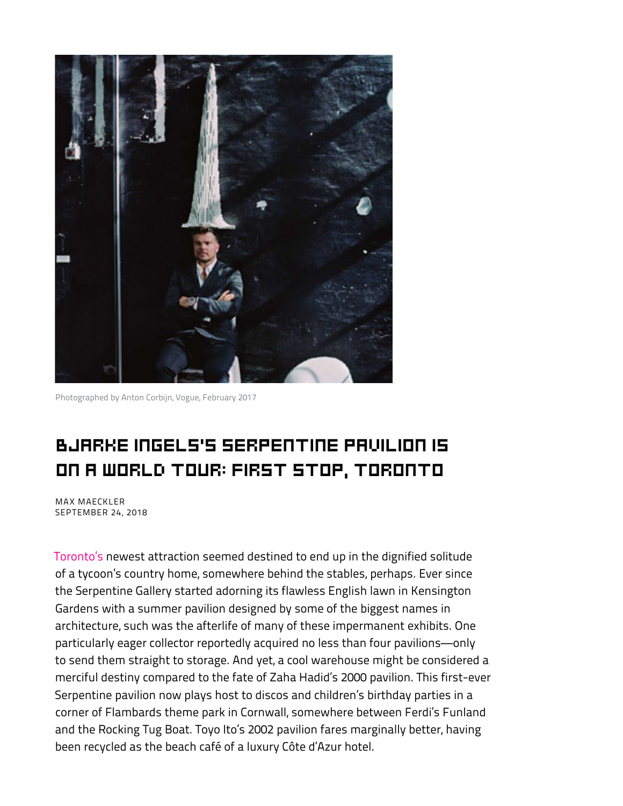

Photographed by Anton Corbijn, Vogue, February 2017 Photographed by Anton Corbijn, *Vogue*, February 2017

## BJARKE INGELS'S SERPENTINE PAVILION IS on A WORLD TOUR: FIRST STOP, TORONTO

performance the Serpentine Gallery started and Serpentine Gallery started and Serpentine Gallery started and s MAX MAECKLER SEPTEMBER 24, 2018

[Toronto's](https://www.vogue.com/article/drake-views-from-the-six-toronto-travel-guide) newest attraction seemed destined to end up in the dignified solitude of a tycoon's country home, somewhere behind the stables, perhaps. Ever since the Serpentine Gallery started adorning its flawless English lawn in Kensington Gardens with a summer pavilion designed by some of the biggest names in architecture, such was the afterlife of many of these impermanent exhibits. One particularly eager collector reportedly acquired no less than four pavilions—only to send them straight to storage. And yet, a cool warehouse might be considered a merciful destiny compared to the fate of Zaha Hadid's 2000 pavilion. This first-ever Serpentine pavilion now plays host to discos and children's birthday parties in a corner of Flambards theme park in Cornwall, somewhere between Ferdi's Funland and the Rocking Tug Boat. Toyo Ito's 2002 pavilion fares marginally better, having been recycled as the beach café of a luxury Côte d'Azur hotel.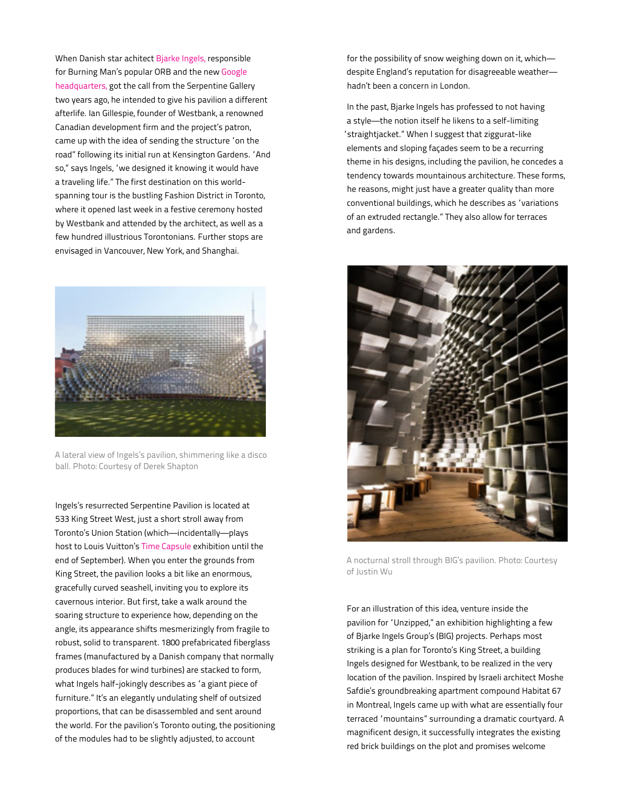When Danish star achitect [Bjarke Ingels,](https://www.vogue.com/article/bjarke-ingels-group-danish-architect-big) responsible for Burning Man's popular ORB and the new Google [headquarters, got the call from the Serpentine Galle](https://www.vogue.com/article/bjarke-ingels-group-danish-architect-big)ry two years ago, he intended to give his pavilion a different afterlife. Ian Gillespie, founder of Westbank, a renowned Canadian development firm and the project's patron, came up with the idea of sending the structure "on the road" following its initial run at Kensington Gardens. "And so," says Ingels, "we designed it knowing it would have a traveling life." The first destination on this worldspanning tour is the bustling Fashion District in Toronto, where it opened last week in a festive ceremony hosted by Westbank and attended by the architect, as well as a few hundred illustrious Torontonians. Further stops are envisaged in Vancouver, New York, and Shanghai.



A lateral view of Ingels's pavilion, shimmering like a disco ball. Photo: Courtesy of Derek Shapton

Ingels's resurrected Serpentine Pavilion is located at 533 King Street West, just a short stroll away from paramous and the station (which—incidentally—plays and the bit like an enormous, included season. host to Louis Vuitton's [Time Capsule](https://eu.louisvuitton.com/eng-e1/articles/time-capsule-toronto) exhibition until the end of September). When you enter the grounds from King Street, the pavilion looks a bit like an enormous, gracefully curved seashell, inviting you to explore its cavernous interior. But first, take a walk around the soaring structure to experience how, depending on the angle, its appearance shifts mesmerizingly from fragile to robust, solid to transparent. 1800 prefabricated fiberglass frames (manufactured by a Danish company that normally produces blades for wind turbines) are stacked to form, what Ingels half-jokingly describes as "a giant piece of furniture." It's an elegantly undulating shelf of outsized proportions, that can be disassembled and sent around the world. For the pavilion's Toronto outing, the positioning of the modules had to be slightly adjusted, to account you to explore its cavernous interior. But first, take a walk around the

for the possibility of snow weighing down on it, whichdespite England's reputation for disagreeable weather hadn't been a concern in London.

In the past, Bjarke Ingels has professed to not having a style—the notion itself he likens to a self-limiting "straightjacket." When I suggest that ziggurat-like elements and sloping façades seem to be a recurring theme in his designs, including the pavilion, he concedes a tendency towards mountainous architecture. These forms, he reasons, might just have a greater quality than more conventional buildings, which he describes as "variations of an extruded rectangle." They also allow for terraces and gardens.



A nocturnal stroll through BIG's pavilion. Photo: Courtesy of Justin Wu

For an illustration of this idea, venture inside the pavilion for 'Unzipped," an exhibition highlighting a few of Bjarke Ingels Group's (BIG) projects. Perhaps most striking is a plan for Toronto's King Street, a building<br>Israeli architect Moshe Safadie Safadie Safadie's Moshe Safadie Ingels designed for Westbank, to be realized in the very location of the pavilion. Inspired by Israeli architect Moshe Safdie's groundbreaking apartment compound Habitat 67 in Montreal, Ingels came up with what are essentially four<br>. terraced "mountains" surrounding a dramatic courtyard. A magnificent design, it successfully integrates the existing red brick buildings on the plot and promises welcome